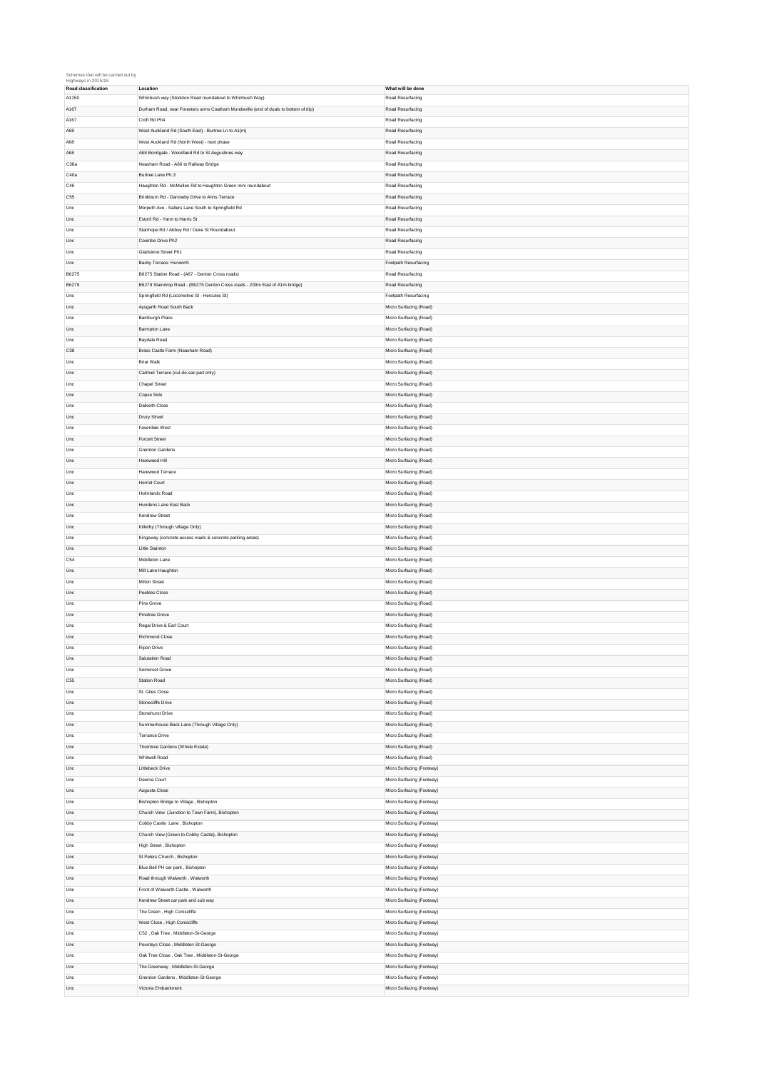## Schemes that will be carried out by Highways in 2015/16

| Hıghways ın 2015/16 |                                                                                     |                                                        |
|---------------------|-------------------------------------------------------------------------------------|--------------------------------------------------------|
| Road classification | Location                                                                            | What will be done                                      |
| A1150               | Whinbush way (Stockton Road roundabout to Whinbush Way)                             | Road Resurfacing                                       |
| A167                | Durham Road, near Foresters arms Coatham Mundeville (end of duals to bottom of dip) | Road Resurfacing                                       |
| A167                | Croft Rd Ph4                                                                        | Road Resurfacing                                       |
|                     |                                                                                     |                                                        |
| A68                 | West Auckland Rd (South East) - Burtree Ln to A1(m)                                 | Road Resurfacing                                       |
| A68                 | West Auckland Rd (North West) - next phase                                          | Road Resurfacing                                       |
| A68                 | A68 Bondgate - Woodland Rd to St Augustines way                                     | Road Resurfacing                                       |
| C38a                | Neasham Road - A66 to Railway Bridge                                                | Road Resurfacing                                       |
|                     |                                                                                     |                                                        |
| C40a                | Burtree Lane Ph.3                                                                   | Road Resurfacing                                       |
| C46                 | Haughton Rd - McMullen Rd to Haughton Green mini roundabout                         | Road Resurfacing                                       |
| C <sub>55</sub>     | Brinkburn Rd - Darrowby Drive to Anns Terrace                                       | Road Resurfacing                                       |
| Unc                 | Morpeth Ave - Salters Lane South to Springfield Rd                                  | Road Resurfacing                                       |
|                     |                                                                                     |                                                        |
| Unc                 | Estoril Rd - Yarm to Harris St                                                      | Road Resurfacing                                       |
| Unc                 | Stanhope Rd / Abbey Rd / Duke St Roundabout                                         | Road Resurfacing                                       |
| Unc                 | Coombe Drive Ph2                                                                    | Road Resurfacing                                       |
| Unc                 | Gladstone Street Ph1                                                                | Road Resurfacing                                       |
|                     |                                                                                     |                                                        |
| Unc                 | Baxby Terrace: Hurworth                                                             | Footpath Resurfacing                                   |
| B6275               | B6275 Station Road - (A67 - Denton Cross roads)                                     | Road Resurfacing                                       |
| B6279               | B6279 Staindrop Road - (B6275 Denton Cross roads - 200m East of A1m bridge)         | Road Resurfacing                                       |
| Unc                 | Springfield Rd (Locomotive St - Hercules St)                                        | Footpath Resurfacing                                   |
|                     |                                                                                     |                                                        |
| Unc                 | Aysgarth Road South Back                                                            | Micro Surfacing (Road)                                 |
| Unc                 | Bamburgh Place                                                                      | Micro Surfacing (Road)                                 |
| Unc                 | Barmpton Lane                                                                       | Micro Surfacing (Road)                                 |
| Unc                 | Baydale Road                                                                        | Micro Surfacing (Road)                                 |
|                     |                                                                                     |                                                        |
| C38                 | Brass Castle Farm (Neasham Road)                                                    | Micro Surfacing (Road)                                 |
| Unc                 | <b>Briar Walk</b>                                                                   | Micro Surfacing (Road)                                 |
| Unc                 | Cartmel Terrace (cul-de-sac part only)                                              | Micro Surfacing (Road)                                 |
| Unc                 | <b>Chapel Street</b>                                                                | Micro Surfacing (Road)                                 |
|                     |                                                                                     |                                                        |
| Unc                 | Copse Side                                                                          | Micro Surfacing (Road)                                 |
| Unc                 | Dalkeith Close                                                                      | Micro Surfacing (Road)                                 |
| Unc                 | Drury Street                                                                        | Micro Surfacing (Road)                                 |
| Unc                 |                                                                                     |                                                        |
|                     | Faverdale West                                                                      | Micro Surfacing (Road)                                 |
| Unc                 | Forcett Street                                                                      | Micro Surfacing (Road)                                 |
| Unc                 | Grendon Gardens                                                                     | Micro Surfacing (Road)                                 |
| Unc                 | Harewood Hill                                                                       | Micro Surfacing (Road)                                 |
|                     |                                                                                     |                                                        |
| Unc                 | Harewood Terrace                                                                    | Micro Surfacing (Road)                                 |
| Unc                 | <b>Herriot Court</b>                                                                | Micro Surfacing (Road)                                 |
| Unc                 | Holmlands Road                                                                      | Micro Surfacing (Road)                                 |
| Unc                 | Hundens Lane East Back                                                              | Micro Surfacing (Road)                                 |
|                     |                                                                                     |                                                        |
| Unc                 | Kendrew Street                                                                      | Micro Surfacing (Road)                                 |
| Unc                 | Killerby (Through Village Only)                                                     | Micro Surfacing (Road)                                 |
| Unc                 | Kingsway (concrete access roads & concrete parking areas)                           | Micro Surfacing (Road)                                 |
| Unc                 | Little Stainton                                                                     | Micro Surfacing (Road)                                 |
|                     |                                                                                     |                                                        |
| C54                 | Middleton Lane                                                                      | Micro Surfacing (Road)                                 |
| Unc                 | Mill Lane Haughton                                                                  | Micro Surfacing (Road)                                 |
| Unc                 | Milton Street                                                                       | Micro Surfacing (Road)                                 |
| Unc                 | Peebles Close                                                                       | Micro Surfacing (Road)                                 |
|                     |                                                                                     |                                                        |
| Unc                 | Pine Grove                                                                          | Micro Surfacing (Road)                                 |
| Unc                 | Pinetree Grove                                                                      | Micro Surfacing (Road)                                 |
| Unc                 | Regal Drive & Earl Court                                                            | Micro Surfacing (Road)                                 |
| Unc                 | Richmond Close                                                                      | Micro Surfacing (Road)                                 |
|                     |                                                                                     |                                                        |
| Unc                 | Ripon Drive                                                                         | Micro Surfacing (Road)                                 |
| Unc                 | Salutation Road                                                                     | Micro Surfacing (Road)                                 |
| Unc                 | Somerset Grove                                                                      | Micro Surfacing (Road)                                 |
| C55                 | <b>Station Road</b>                                                                 | Micro Surfacing (Road)                                 |
| Unc                 | St. Giles Close                                                                     |                                                        |
|                     |                                                                                     | Micro Surfacing (Road)                                 |
| Unc                 | Stonecliffe Drive                                                                   | Micro Surfacing (Road)                                 |
| Unc                 | Stonehurst Drive                                                                    | Micro Surfacing (Road)                                 |
| Unc                 |                                                                                     |                                                        |
|                     | Summerhouse Back Lane (Through Village Only)                                        | Micro Surfacing (Road)                                 |
|                     |                                                                                     |                                                        |
| Unc                 | <b>Torrance Drive</b>                                                               | Micro Surfacing (Road)                                 |
| Unc                 | Thorntree Gardens (Whole Estate)                                                    | Micro Surfacing (Road)                                 |
| Unc                 | Whitwell Road                                                                       | Micro Surfacing (Road)                                 |
| Unc                 | Littlebeck Drive                                                                    | Micro Surfacing (Footway)                              |
|                     |                                                                                     |                                                        |
| Unc                 | Deorna Court                                                                        | Micro Surfacing (Footway)                              |
| Unc                 | Augusta Close                                                                       | Micro Surfacing (Footway)                              |
| Unc                 | Bishopton Bridge to Village, Bishopton                                              | Micro Surfacing (Footway)                              |
| Unc                 | Church View (Junction to Town Farm), Bishopton                                      | Micro Surfacing (Footway)                              |
|                     |                                                                                     |                                                        |
| Unc                 | Cobby Castle Lane, Bishopton                                                        | Micro Surfacing (Footway)                              |
| Unc                 | Church View (Green to Cobby Castle), Bishopton                                      | Micro Surfacing (Footway)                              |
| Unc                 | High Street, Bishopton                                                              | Micro Surfacing (Footway)                              |
| Unc                 | St Peters Church, Bishopton                                                         | Micro Surfacing (Footway)                              |
|                     |                                                                                     |                                                        |
| Unc                 | Blue Bell PH car park, Bishopton                                                    | Micro Surfacing (Footway)                              |
| Unc                 | Road through Walworth, Walworth                                                     | Micro Surfacing (Footway)                              |
| Unc                 | Front of Walworth Castle, Walworth                                                  | Micro Surfacing (Footway)                              |
| Unc                 | Kendrew Street car park and sub way                                                 | Micro Surfacing (Footway)                              |
| Unc                 | The Green, High Coniscliffe                                                         | Micro Surfacing (Footway)                              |
|                     |                                                                                     |                                                        |
| Unc                 | West Close, High Coniscliffe                                                        | Micro Surfacing (Footway)                              |
| Unc                 | C52, Oak Tree, Middleton-St-George                                                  | Micro Surfacing (Footway)                              |
| Unc                 | Pounteys Close, Middleton St-George                                                 | Micro Surfacing (Footway)                              |
| Unc                 | Oak Tree Close, Oak Tree, Middleton-St-George                                       | Micro Surfacing (Footway)                              |
|                     |                                                                                     |                                                        |
| Unc                 | The Greenway, Middleton-St-George                                                   | Micro Surfacing (Footway)                              |
| Unc                 | Grendon Gardens, Middleton-St-George<br>Victoria Embankment                         | Micro Surfacing (Footway)<br>Micro Surfacing (Footway) |